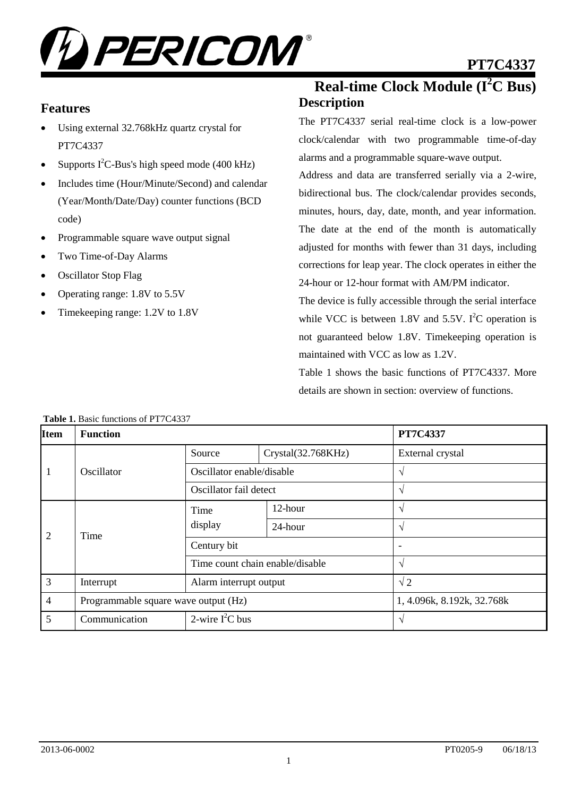

# **Features**

- Using external 32.768kHz quartz crystal for PT7C4337
- Supports  $I^2C$ -Bus's high speed mode (400 kHz)
- Includes time (Hour/Minute/Second) and calendar (Year/Month/Date/Day) counter functions (BCD code)
- Programmable square wave output signal
- Two Time-of-Day Alarms
- Oscillator Stop Flag
- Operating range: 1.8V to 5.5V
- Timekeeping range: 1.2V to 1.8V

# Real-time Clock Module (I<sup>2</sup>C Bus) **Description**

The PT7C4337 serial real-time clock is a low-power clock/calendar with two programmable time-of-day alarms and a programmable square-wave output.

Address and data are transferred serially via a 2-wire, bidirectional bus. The clock/calendar provides seconds, minutes, hours, day, date, month, and year information. The date at the end of the month is automatically adjusted for months with fewer than 31 days, including corrections for leap year. The clock operates in either the 24-hour or 12-hour format with AM/PM indicator.

The device is fully accessible through the serial interface while VCC is between 1.8V and 5.5V. I<sup>2</sup>C operation is not guaranteed below 1.8V. Timekeeping operation is maintained with VCC as low as 1.2V.

Table 1 shows the basic functions of PT7C4337. More details are shown in section: overview of functions.

| <b>Item</b>    | <b>Function</b>                      |                                 |                       | PT7C4337                   |
|----------------|--------------------------------------|---------------------------------|-----------------------|----------------------------|
|                |                                      | Source                          | $Crystal$ (32.768KHz) | External crystal           |
| 1              | Oscillator                           | Oscillator enable/disable       |                       | $\gamma$                   |
|                |                                      | Oscillator fail detect          |                       | V                          |
|                | Time                                 | Time                            | 12-hour               | $\mathcal{N}$              |
| $\overline{2}$ |                                      | display                         | 24-hour               | $\sqrt{ }$                 |
|                |                                      | Century bit                     |                       | $\overline{\phantom{a}}$   |
|                |                                      | Time count chain enable/disable |                       | $\mathcal{N}$              |
| 3              | Interrupt                            | Alarm interrupt output          |                       | $\sqrt{2}$                 |
| $\overline{4}$ | Programmable square wave output (Hz) |                                 |                       | 1, 4.096k, 8.192k, 32.768k |
| 5              | Communication                        | 2-wire $I^2C$ bus               |                       | $\Delta$                   |

**Table 1.** Basic functions of PT7C4337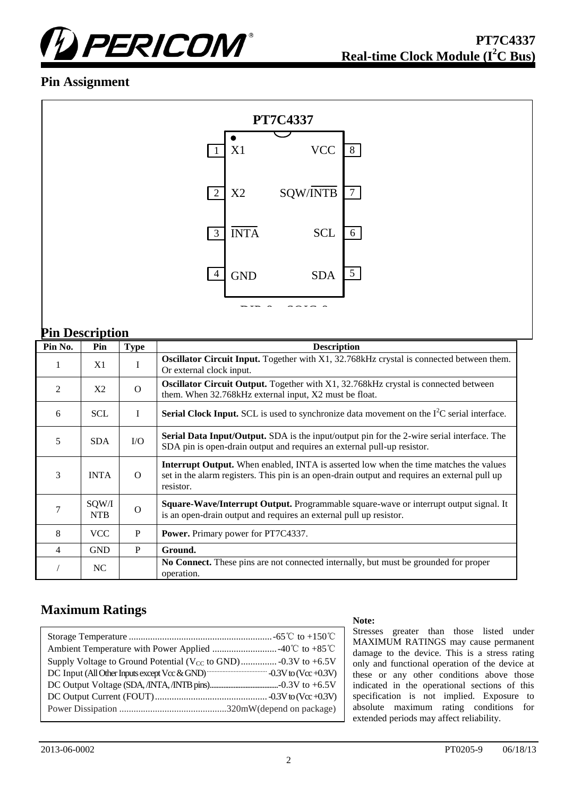

# **Pin Assignment**



## **Pin Description**

| Pin No.        | Pin                 | <b>Type</b> | <b>Description</b>                                                                                                                                                                                         |
|----------------|---------------------|-------------|------------------------------------------------------------------------------------------------------------------------------------------------------------------------------------------------------------|
| 1              | X1                  | I           | <b>Oscillator Circuit Input.</b> Together with X1, 32.768kHz crystal is connected between them.<br>Or external clock input.                                                                                |
| 2              | X2                  | $\Omega$    | <b>Oscillator Circuit Output.</b> Together with X1, 32.768kHz crystal is connected between<br>them. When 32.768kHz external input, X2 must be float.                                                       |
| 6              | <b>SCL</b>          | I           | <b>Serial Clock Input.</b> SCL is used to synchronize data movement on the $I^2C$ serial interface.                                                                                                        |
| 5              | <b>SDA</b>          | $\rm LO$    | <b>Serial Data Input/Output.</b> SDA is the input/output pin for the 2-wire serial interface. The<br>SDA pin is open-drain output and requires an external pull-up resistor.                               |
| 3              | <b>INTA</b>         | $\Omega$    | <b>Interrupt Output.</b> When enabled, INTA is asserted low when the time matches the values<br>set in the alarm registers. This pin is an open-drain output and requires an external pull up<br>resistor. |
| 7              | SQW/I<br><b>NTB</b> | $\Omega$    | <b>Square-Wave/Interrupt Output.</b> Programmable square-wave or interrupt output signal. It<br>is an open-drain output and requires an external pull up resistor.                                         |
| 8              | <b>VCC</b>          | P           | Power. Primary power for PT7C4337.                                                                                                                                                                         |
| $\overline{4}$ | <b>GND</b>          | P           | Ground.                                                                                                                                                                                                    |
|                | NC                  |             | No Connect. These pins are not connected internally, but must be grounded for proper<br>operation.                                                                                                         |

# **Maximum Ratings**

#### **Note:**

Stresses greater than those listed under MAXIMUM RATINGS may cause permanent damage to the device. This is a stress rating only and functional operation of the device at these or any other conditions above those indicated in the operational sections of this specification is not implied. Exposure to absolute maximum rating conditions for extended periods may affect reliability.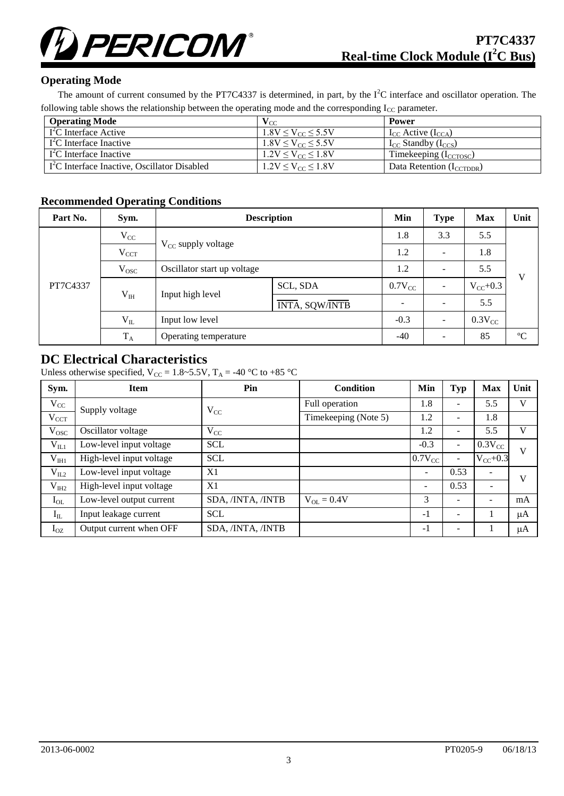

## **Operating Mode**

The amount of current consumed by the PT7C4337 is determined, in part, by the  $I<sup>2</sup>C$  interface and oscillator operation. The following table shows the relationship between the operating mode and the corresponding  $I_{CC}$  parameter.

| <b>Operating Mode</b>                         | $V_{CC}$                     | <b>Power</b>                      |
|-----------------------------------------------|------------------------------|-----------------------------------|
| $I2C$ Interface Active                        | $1.8V \le V_{CC} \le 5.5V$   | $I_{CC}$ Active $(I_{CCA})$       |
| $I2C$ Interface Inactive                      | $1.8V \leq V_{CC} \leq 5.5V$ | $I_{CC}$ Standby ( $I_{CCS}$ )    |
| $I2C$ Interface Inactive                      | $1.2V \le V_{CC} \le 1.8V$   | Timekeeping $(I_{\text{CCTOSC}})$ |
| $I2C$ Interface Inactive, Oscillator Disabled | $1.2V \le V_{CC} \le 1.8V$   | Data Retention $(I_{CCTDDR})$     |

#### **Recommended Operating Conditions**

| Part No. | Sym.             | <b>Description</b>          |                       |                          | <b>Type</b>              | <b>Max</b>   | Unit |
|----------|------------------|-----------------------------|-----------------------|--------------------------|--------------------------|--------------|------|
|          | $V_{CC}$         |                             | 1.8                   | 3.3                      | 5.5                      | V            |      |
|          | $V_{CCT}$        | $V_{CC}$ supply voltage     |                       | 1.2                      | $\overline{\phantom{a}}$ |              | 1.8  |
|          | $V_{\rm{OSC}}$   | Oscillator start up voltage |                       | 1.2                      | $\overline{\phantom{a}}$ |              | 5.5  |
| PT7C4337 | $\rm V_{\rm IH}$ | Input high level            | SCL, SDA              | $0.7V_{CC}$              | $\overline{\phantom{a}}$ | $V_{CC}+0.3$ |      |
|          |                  |                             | <b>INTA, SQW/INTB</b> | $\overline{\phantom{a}}$ | $\overline{\phantom{a}}$ | 5.5          |      |
|          | $\rm V_{II}$     | Input low level             |                       | $-0.3$                   | $\sim$                   | $0.3V_{CC}$  |      |
|          | $T_{\rm A}$      | Operating temperature       |                       | $-40$                    | $\overline{\phantom{a}}$ | 85           | C    |

## **DC Electrical Characteristics**

Unless otherwise specified,  $V_{CC} = 1.8 \sim 5.5 V$ ,  $T_A = -40$  °C to +85 °C

| Sym.              | <b>Item</b>              | Pin               | <b>Condition</b>     | Min                      | <b>Typ</b> | <b>Max</b>               | Unit |
|-------------------|--------------------------|-------------------|----------------------|--------------------------|------------|--------------------------|------|
| $V_{CC}$          | Supply voltage           | $\rm V_{CC}$      | Full operation       | 1.8                      |            | 5.5                      | V    |
| V <sub>CCT</sub>  |                          |                   | Timekeeping (Note 5) | 1.2                      |            | 1.8                      |      |
| $V_{\rm{OSC}}$    | Oscillator voltage       | $V_{CC}$          |                      | 1.2                      |            | 5.5                      | V    |
| $V_{IL1}$         | Low-level input voltage  | <b>SCL</b>        |                      | $-0.3$                   |            | $0.3V_{CC}$              | V    |
| $V_{IHI}$         | High-level input voltage | <b>SCL</b>        |                      | $0.7V_{CC}$              |            | $V_{CC}+0.3$             |      |
| $V_{IL2}$         | Low-level input voltage  | X1                |                      | $\overline{\phantom{a}}$ | 0.53       | $\overline{\phantom{a}}$ | V    |
| V <sub>III2</sub> | High-level input voltage | X1                |                      | ۰.                       | 0.53       | $\overline{\phantom{0}}$ |      |
| $I_{OL}$          | Low-level output current | SDA, /INTA, /INTB | $V_{OL} = 0.4V$      | 3                        |            | $\overline{\phantom{a}}$ | mA   |
| $I_{IL}$          | Input leakage current    | <b>SCL</b>        |                      | $-1$                     |            |                          | μA   |
| $I_{OZ}$          | Output current when OFF  | SDA, /INTA, /INTB |                      | $-1$                     |            |                          | μA   |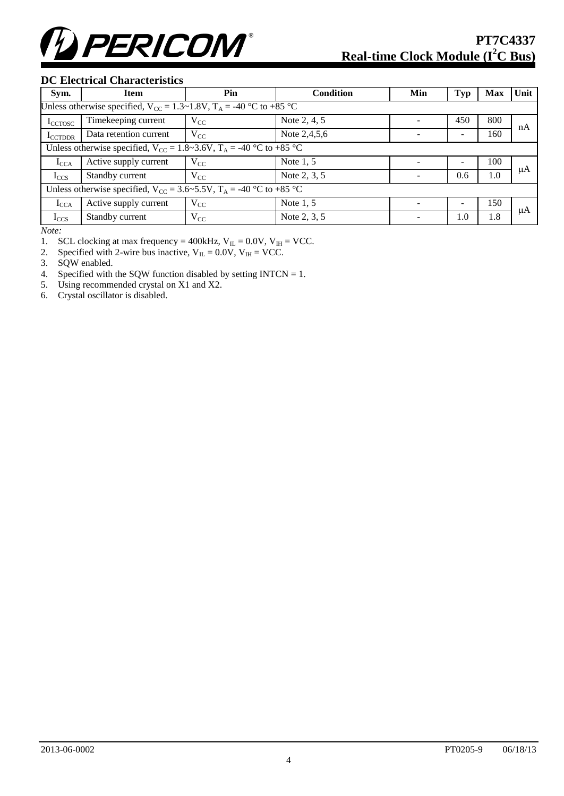

#### **DC Electrical Characteristics**

| Sym.                                                                            | <b>Item</b>                                                                      | Pin      | <b>Condition</b> | Min | <b>Typ</b>               | <b>Max</b> | Unit |  |  |  |
|---------------------------------------------------------------------------------|----------------------------------------------------------------------------------|----------|------------------|-----|--------------------------|------------|------|--|--|--|
|                                                                                 | Unless otherwise specified, $V_{CC} = 1.3 \sim 1.8V$ , $T_A = -40$ °C to +85 °C  |          |                  |     |                          |            |      |  |  |  |
| I <sub>CCTOSC</sub>                                                             | Timekeeping current                                                              | $V_{CC}$ | Note 2, 4, 5     |     | 450                      | 800        | nA   |  |  |  |
| <b>I</b> CCTDDR                                                                 | Data retention current                                                           | $V_{CC}$ | Note 2,4,5,6     |     | $\overline{\phantom{a}}$ | 160        |      |  |  |  |
|                                                                                 | Unless otherwise specified, $V_{CC} = 1.8 \sim 3.6 V$ , $T_A = -40$ °C to +85 °C |          |                  |     |                          |            |      |  |  |  |
| $I_{\text{CCA}}$                                                                | Active supply current                                                            | $V_{CC}$ | Note $1, 5$      |     | ۰                        | 100        | μA   |  |  |  |
| $I_{CCS}$                                                                       | Standby current                                                                  | $V_{CC}$ | Note 2, 3, 5     |     | 0.6                      | 1.0        |      |  |  |  |
| Unless otherwise specified, $V_{CC} = 3.6 \div 5.5V$ , $T_A = -40$ °C to +85 °C |                                                                                  |          |                  |     |                          |            |      |  |  |  |
| $I_{\text{CCA}}$                                                                | Active supply current                                                            | $V_{CC}$ | Note $1, 5$      |     | $\overline{\phantom{a}}$ | 150        |      |  |  |  |
| $I_{CCS}$                                                                       | Standby current                                                                  | $V_{CC}$ | Note 2, 3, 5     |     | 1.0                      | 1.8        | μA   |  |  |  |

*Note:*

1. SCL clocking at max frequency = 400kHz,  $V_{IL} = 0.0V$ ,  $V_{IH} = VCC$ .

2. Specified with 2-wire bus inactive,  $V_{IL} = 0.0V$ ,  $V_{IH} = VCC$ .

3. SQW enabled.

4. Specified with the SQW function disabled by setting INTCN = 1.

5. Using recommended crystal on X1 and X2.

6. Crystal oscillator is disabled.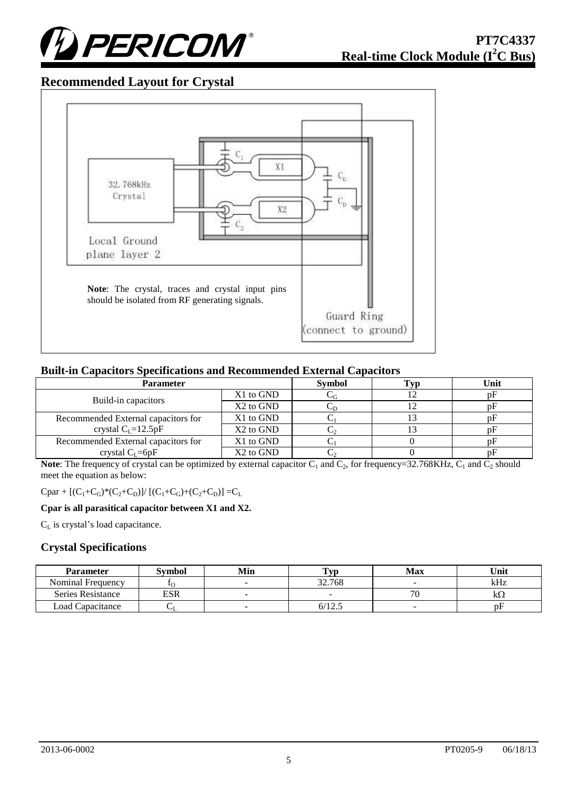

# **Recommended Layout for Crystal**



## **Built-in Capacitors Specifications and Recommended External Capacitors**

| <b>Parameter</b>                    |                                   | <b>Symbol</b> | Tvp | Unit |
|-------------------------------------|-----------------------------------|---------------|-----|------|
|                                     | X1 to GND                         | CG            |     |      |
| Build-in capacitors                 | X <sub>2</sub> to G <sub>ND</sub> | ◡ಗ            |     |      |
| Recommended External capacitors for | X1 to GND                         |               |     |      |
| crystal $C_L$ =12.5pF               | X2 to GND                         |               |     |      |
| Recommended External capacitors for | X1 to GND                         |               |     |      |
| crystal $C_I = 6pF$                 | X <sub>2</sub> to GND             |               |     |      |

**Note**: The frequency of crystal can be optimized by external capacitor  $C_1$  and  $C_2$ , for frequency=32.768KHz,  $C_1$  and  $C_2$  should meet the equation as below:

 $Cpar + [(C_1+C_G)*(C_2+C_D)]/ [(C_1+C_G)+(C_2+C_D)] = C_L$ 

#### **Cpar is all parasitical capacitor between X1 and X2.**

C<sup>L</sup> is crystal's load capacitance.

#### **Crystal Specifications**

| <b>Parameter</b>         | <b>Symbol</b> | Min | `VI.                     | Max | Unit |
|--------------------------|---------------|-----|--------------------------|-----|------|
| <b>Nominal Frequency</b> |               |     | 32.768                   |     | kHz  |
| Series Resistance        | ESR           |     | $\overline{\phantom{0}}$ | 70  | kΩ   |
| Load Capacitance         |               |     | 6/12.5                   |     | nŀ   |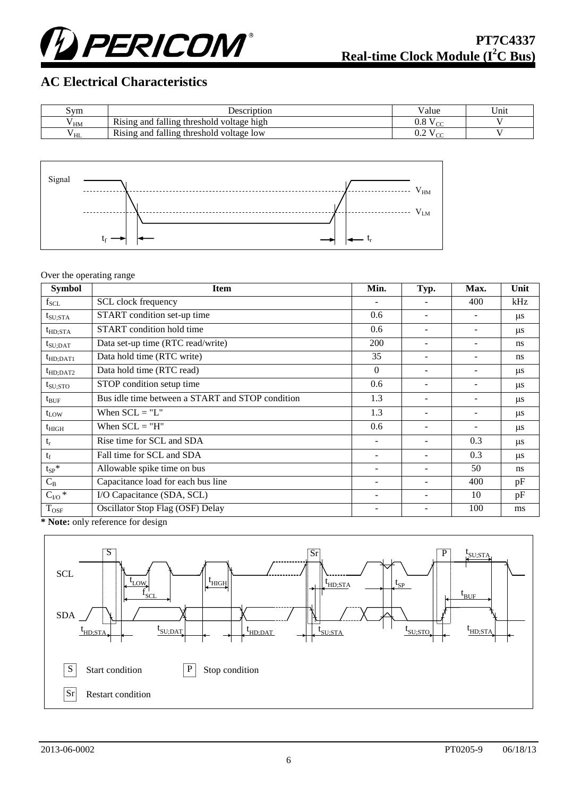

# **AC Electrical Characteristics**

| Sym  | Description                                                                      | ∕alue                                     | Unit |
|------|----------------------------------------------------------------------------------|-------------------------------------------|------|
| ' HM | $\mathbf{r}$ .<br><br>talling threshold voltage high<br>⊤and<br><b>Rising</b>    | $\sim$<br>J.O                             |      |
| HL   | $\mathbf{r}$ .<br>threshold<br>i voltage low<br>∶and<br>falling<br><b>Rising</b> | $\sim$<br>∪.∠<br>$\overline{\phantom{a}}$ |      |



#### Over the operating range

| <b>Symbol</b>                  | Item                                             | Min.                     | Typ. | Max.                     | Unit          |
|--------------------------------|--------------------------------------------------|--------------------------|------|--------------------------|---------------|
| $f_{SCL}$                      | SCL clock frequency                              |                          |      | 400                      | kHz           |
| $t_{\rm SU;STA}$               | START condition set-up time                      | 0.6                      |      | $\overline{\phantom{m}}$ | $\mu$ s       |
| $t_{HD;STA}$                   | START condition hold time                        | 0.6                      |      | $\overline{\phantom{m}}$ | $\mu$ s       |
| $t_{\rm SU;DAT}$               | Data set-up time (RTC read/write)                | 200                      |      | $\overline{\phantom{a}}$ | <sub>ns</sub> |
| $t_{HD;DAT1}$                  | Data hold time (RTC write)                       | 35                       |      | -                        | ns            |
| $t_{HD;DAT2}$                  | Data hold time (RTC read)                        | $\Omega$                 |      |                          | $\mu$ s       |
| $t_{\rm SU;STO}$               | STOP condition setup time                        | 0.6                      |      | $\overline{\phantom{a}}$ | $\mu$ s       |
| $t_{\text{BUF}}$               | Bus idle time between a START and STOP condition | 1.3                      |      |                          | $\mu$ s       |
| $t_{LOW}$                      | When $SCL = "L"$                                 | 1.3                      |      |                          | $\mu$ s       |
| $t_{\rm HIGH}$                 | When $SCL = "H"$                                 | 0.6                      |      | $\overline{\phantom{a}}$ | $\mu$ s       |
| $t_{r}$                        | Rise time for SCL and SDA                        | $\overline{\phantom{a}}$ |      | 0.3                      | $\mu$ s       |
| $t_f$                          | Fall time for SCL and SDA                        |                          |      | 0.3                      | $\mu s$       |
| $\mathfrak{t}_{\mathrm{SP}}$ * | Allowable spike time on bus                      | $\overline{\phantom{a}}$ |      | 50                       | <sub>ns</sub> |
| $C_B$                          | Capacitance load for each bus line               | $\overline{\phantom{a}}$ |      | 400                      | pF            |
| $C_{\text{IO}}$ *              | I/O Capacitance (SDA, SCL)                       | $\overline{\phantom{a}}$ |      | 10                       | pF            |
| $T_{OSF}$                      | Oscillator Stop Flag (OSF) Delay                 | $\overline{\phantom{a}}$ | -    | 100                      | ms            |
|                                | * Note: only reference for design                |                          |      |                          |               |

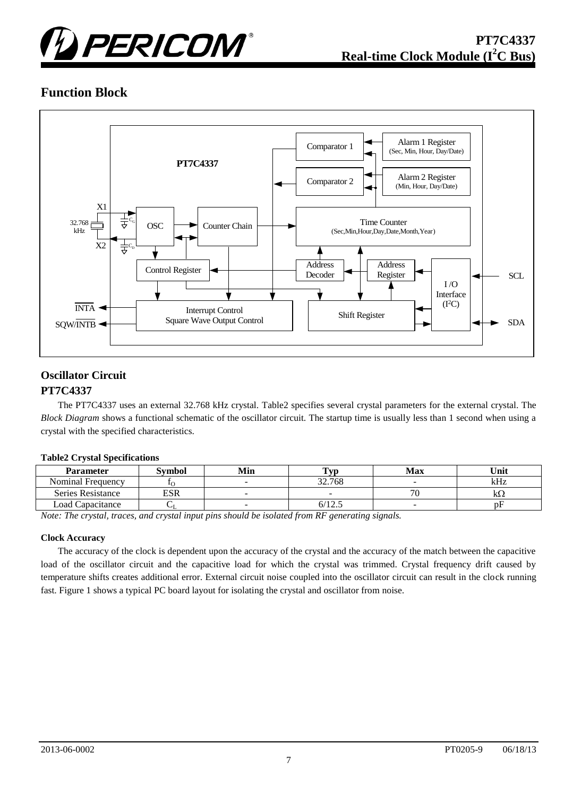

# **Function Block**



## **Oscillator Circuit PT7C4337**

The PT7C4337 uses an external 32.768 kHz crystal. Table2 specifies several crystal parameters for the external crystal. The *Block Diagram* shows a functional schematic of the oscillator circuit. The startup time is usually less than 1 second when using a crystal with the specified characteristics.

#### **Table2 Crystal Specifications**

| <b>Parameter</b>  | Svmbol | Min                      | `VD      | Max | Unit |
|-------------------|--------|--------------------------|----------|-----|------|
| Nominal Frequency |        | $\overline{\phantom{a}}$ | 32.768   | -   | kHz  |
| Series Resistance | ESR    |                          | -        | 70  | kΩ   |
| Load Capacitance  |        |                          | $6/12$ . | -   | ĎF   |

*Note: The crystal, traces, and crystal input pins should be isolated from RF generating signals.*

#### **Clock Accuracy**

The accuracy of the clock is dependent upon the accuracy of the crystal and the accuracy of the match between the capacitive load of the oscillator circuit and the capacitive load for which the crystal was trimmed. Crystal frequency drift caused by temperature shifts creates additional error. External circuit noise coupled into the oscillator circuit can result in the clock running fast. Figure 1 shows a typical PC board layout for isolating the crystal and oscillator from noise.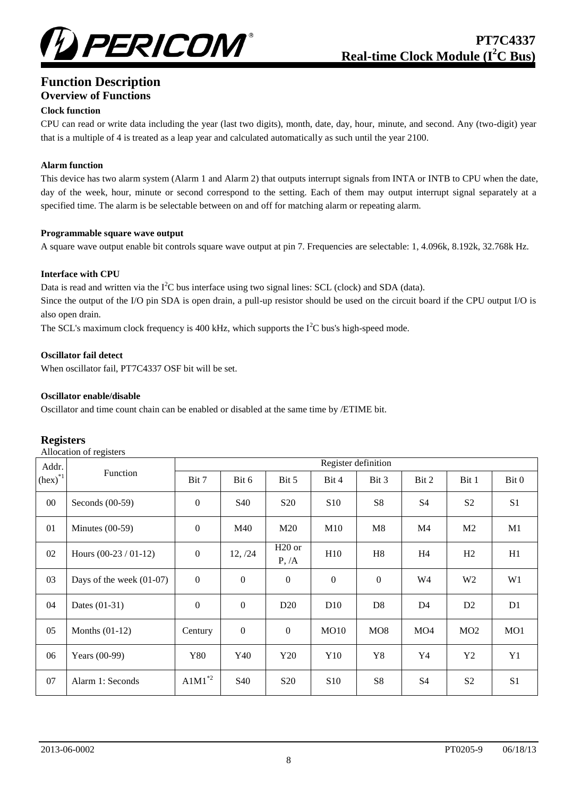

# **Function Description**

# **Overview of Functions**

**Clock function**

CPU can read or write data including the year (last two digits), month, date, day, hour, minute, and second. Any (two-digit) year that is a multiple of 4 is treated as a leap year and calculated automatically as such until the year 2100.

#### **Alarm function**

This device has two alarm system (Alarm 1 and Alarm 2) that outputs interrupt signals from INTA or INTB to CPU when the date, day of the week, hour, minute or second correspond to the setting. Each of them may output interrupt signal separately at a specified time. The alarm is be selectable between on and off for matching alarm or repeating alarm.

#### **Programmable square wave output**

A square wave output enable bit controls square wave output at pin 7. Frequencies are selectable: 1, 4.096k, 8.192k, 32.768k Hz.

#### **Interface with CPU**

Data is read and written via the  $I^2C$  bus interface using two signal lines: SCL (clock) and SDA (data).

Since the output of the I/O pin SDA is open drain, a pull-up resistor should be used on the circuit board if the CPU output I/O is also open drain.

The SCL's maximum clock frequency is 400 kHz, which supports the  $I^2C$  bus's high-speed mode.

#### **Oscillator fail detect**

When oscillator fail, PT7C4337 OSF bit will be set.

#### **Oscillator enable/disable**

Oscillator and time count chain can be enabled or disabled at the same time by /ETIME bit.

#### **Registers**

Allocation of registers

| Addr.        | $\ldots$                   | Register definition |                  |                   |                 |                 |                 |                 |                 |  |
|--------------|----------------------------|---------------------|------------------|-------------------|-----------------|-----------------|-----------------|-----------------|-----------------|--|
| $(hex)^{*1}$ | Function                   | Bit 7               | Bit 6            | Bit 5             | Bit 4           | Bit 3           | Bit 2           | Bit 1           | Bit 0           |  |
| $00\,$       | Seconds $(00-59)$          | $\overline{0}$      | <b>S40</b>       | S <sub>20</sub>   | S <sub>10</sub> | S8              | <b>S4</b>       | S <sub>2</sub>  | S <sub>1</sub>  |  |
| 01           | Minutes $(00-59)$          | $\boldsymbol{0}$    | M40              | M20               | M10             | M8              | M <sub>4</sub>  | M <sub>2</sub>  | M1              |  |
| 02           | Hours $(00-23/01-12)$      | $\boldsymbol{0}$    | 12, /24          | $H20$ or<br>P, /A | H10             | H <sub>8</sub>  | H <sub>4</sub>  | H2              | H1              |  |
| 03           | Days of the week $(01-07)$ | $\overline{0}$      | $\boldsymbol{0}$ | $\boldsymbol{0}$  | $\mathbf{0}$    | $\mathbf{0}$    | W4              | W <sub>2</sub>  | W1              |  |
| 04           | Dates (01-31)              | $\boldsymbol{0}$    | $\boldsymbol{0}$ | D <sub>20</sub>   | D <sub>10</sub> | D <sub>8</sub>  | D <sub>4</sub>  | D <sub>2</sub>  | D1              |  |
| 05           | Months $(01-12)$           | Century             | $\mathbf{0}$     | $\mathbf{0}$      | MO10            | MO <sub>8</sub> | MO <sub>4</sub> | MO <sub>2</sub> | MO <sub>1</sub> |  |
| 06           | Years (00-99)              | <b>Y80</b>          | Y40              | Y20               | Y10             | Y8              | Y4              | Y2              | Y1              |  |
| 07           | Alarm 1: Seconds           | $A1M1^*{}^2$        | S40              | <b>S20</b>        | S10             | <b>S8</b>       | S <sub>4</sub>  | S <sub>2</sub>  | S <sub>1</sub>  |  |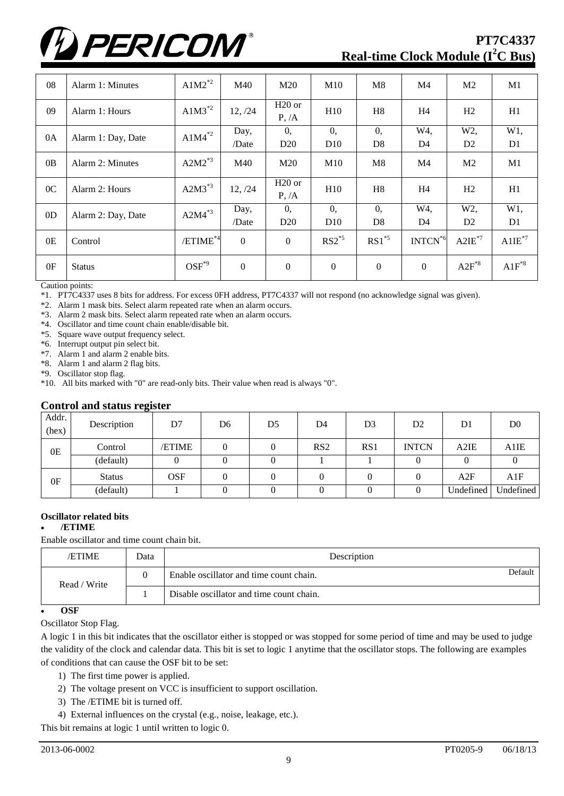

| 08             | Alarm 1: Minutes   | $A1M2^*{}^2$  | M40          | M20                         | M10            | M8             | M4             | M <sub>2</sub> | M1             |
|----------------|--------------------|---------------|--------------|-----------------------------|----------------|----------------|----------------|----------------|----------------|
| 09             | Alarm 1: Hours     | $A1M3^{*2}$   | 12, /24      | H <sub>20</sub> or<br>P, /A | H10            | H <sub>8</sub> | H <sub>4</sub> | H2             | H1             |
|                |                    | $A1M4^{*2}$   | Day,         | 0,                          | 0,             | 0,             | W4,            | W2,            | W1,            |
| 0A             | Alarm 1: Day, Date |               | /Date        | D20                         | D10            | D <sub>8</sub> | D <sub>4</sub> | D2             | D <sub>1</sub> |
| 0B             | Alarm 2: Minutes   | $A2M2^{*3}$   | M40          | M20                         | M10            | M8             | M4             | M <sub>2</sub> | M1             |
| 0 <sup>C</sup> | Alarm 2: Hours     | $A2M3^{*3}$   | 12, /24      | $H20$ or<br>P, /A           | H10            | H <sub>8</sub> | H <sub>4</sub> | H2             | H1             |
|                |                    | $A2M4^{*3}$   | Day,         | 0,                          | 0,             | 0,             | W4,            | W <sub>2</sub> | $W1$ ,         |
| 0 <sub>D</sub> | Alarm 2: Day, Date |               | /Date        | D20                         | D10            | D <sub>8</sub> | D <sub>4</sub> | D2             | D1             |
| 0E             | Control            | $/ETIME^{*4}$ | $\mathbf{0}$ | $\mathbf{0}$                | $RS2^{*5}$     | $RS1^{*5}$     | $INTCN*6$      | $A2IE^*$       | $A1IE^{*7}$    |
| 0F             | <b>Status</b>      | $OSF^*$       | $\theta$     | $\Omega$                    | $\overline{0}$ | $\mathbf{0}$   | $\theta$       | $A2F^{*8}$     | $A1F^{*8}$     |

Caution points:

\*1. PT7C4337 uses 8 bits for address. For excess 0FH address, PT7C4337 will not respond (no acknowledge signal was given).

\*2. Alarm 1 mask bits. Select alarm repeated rate when an alarm occurs.

\*3. Alarm 2 mask bits. Select alarm repeated rate when an alarm occurs.

\*4. Oscillator and time count chain enable/disable bit.

\*5. Square wave output frequency select.

\*6. Interrupt output pin select bit.

\*7. Alarm 1 and alarm 2 enable bits.

\*8. Alarm 1 and alarm 2 flag bits.

\*9. Oscillator stop flag.

\*10. All bits marked with "0" are read-only bits. Their value when read is always "0".

#### **Control and status register**

| Addr.<br>(hex) | $-$<br>Description | D7         | D6 | D5 | D4              | D3  | D <sub>2</sub> | D <sub>1</sub>    | D <sub>0</sub> |
|----------------|--------------------|------------|----|----|-----------------|-----|----------------|-------------------|----------------|
| 0E             | Control            | /ETIME     |    |    | RS <sub>2</sub> | RS1 | <b>INTCN</b>   | A <sub>2</sub> IE | A1IE           |
|                | (default)          | 0          |    |    |                 |     |                |                   |                |
| 0 <sub>F</sub> | <b>Status</b>      | <b>OSF</b> |    |    |                 |     |                | A2F               | A1F            |
|                | (default)          |            |    |    |                 |     |                | Undefined         | Undefined      |

#### **Oscillator related bits**

**/ETIME** 

Enable oscillator and time count chain bit.

| /ETIME       | Data | Description                              |         |  |  |  |  |  |
|--------------|------|------------------------------------------|---------|--|--|--|--|--|
| Read / Write |      | Enable oscillator and time count chain.  | Default |  |  |  |  |  |
|              |      | Disable oscillator and time count chain. |         |  |  |  |  |  |

#### **OSF**

Oscillator Stop Flag.

A logic 1 in this bit indicates that the oscillator either is stopped or was stopped for some period of time and may be used to judge the validity of the clock and calendar data. This bit is set to logic 1 anytime that the oscillator stops. The following are examples of conditions that can cause the OSF bit to be set:

1) The first time power is applied.

- 2) The voltage present on VCC is insufficient to support oscillation.
- 3) The /ETIME bit is turned off.
- 4) External influences on the crystal (e.g., noise, leakage, etc.).

This bit remains at logic 1 until written to logic 0.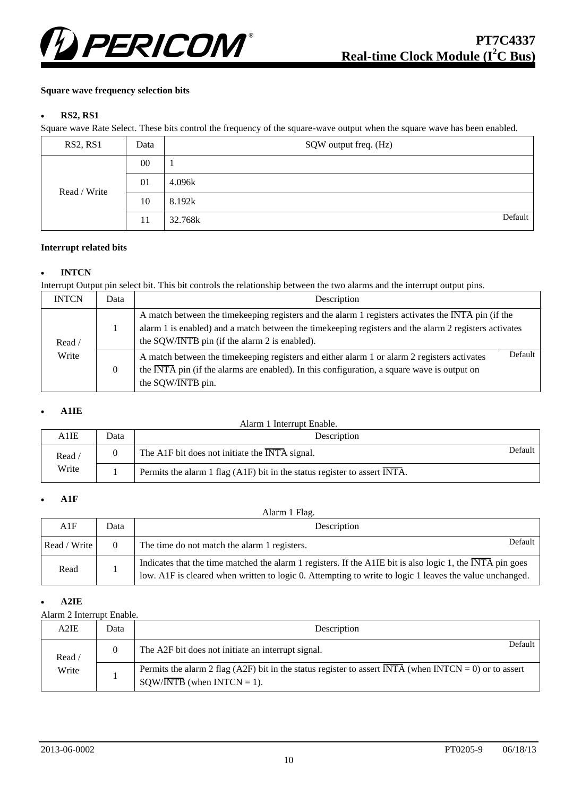

#### **Square wave frequency selection bits**

#### • **RS2, RS1**

Square wave Rate Select. These bits control the frequency of the square-wave output when the square wave has been enabled.

| RS2, RS1     | Data   | SQW output freq. (Hz) |
|--------------|--------|-----------------------|
|              | $00\,$ |                       |
| Read / Write | 01     | 4.096k                |
|              | 10     | 8.192k                |
|              | 11     | Default<br>32.768k    |

#### **Interrupt related bits**

#### **INTCN**

Interrupt Output pin select bit. This bit controls the relationship between the two alarms and the interrupt output pins.

| <b>INTCN</b> | Data | Description                                                                                                                                                                                                                                                                 |
|--------------|------|-----------------------------------------------------------------------------------------------------------------------------------------------------------------------------------------------------------------------------------------------------------------------------|
| Read /       |      | A match between the time keeping registers and the alarm 1 registers activates the INTA pin (if the<br>alarm 1 is enabled) and a match between the time keeping registers and the alarm 2 registers activates<br>the $SQW/\overline{INTB}$ pin (if the alarm 2 is enabled). |
| Write        | 0    | Default<br>A match between the time keeping registers and either alarm 1 or alarm 2 registers activates<br>the $\overline{INTA}$ pin (if the alarms are enabled). In this configuration, a square wave is output on<br>the SQW/INTB pin.                                    |

#### **A1IE**

|        | Alarm 1 Interrupt Enable. |                                                                           |         |  |  |  |  |  |  |
|--------|---------------------------|---------------------------------------------------------------------------|---------|--|--|--|--|--|--|
| A1IE   | Data                      | Description                                                               |         |  |  |  |  |  |  |
| Read / |                           | The A1F bit does not initiate the INTA signal.                            | Default |  |  |  |  |  |  |
| Write  |                           | Permits the alarm 1 flag (A1F) bit in the status register to assert INTA. |         |  |  |  |  |  |  |

#### **A1F**

|              | Alarm 1 Flag. |                                                                                                                                                                                                                      |  |  |  |  |  |  |  |
|--------------|---------------|----------------------------------------------------------------------------------------------------------------------------------------------------------------------------------------------------------------------|--|--|--|--|--|--|--|
| A1F          | Data          | Description                                                                                                                                                                                                          |  |  |  |  |  |  |  |
| Read / Write |               | Default<br>The time do not match the alarm 1 registers.                                                                                                                                                              |  |  |  |  |  |  |  |
| Read         |               | Indicates that the time matched the alarm 1 registers. If the A1IE bit is also logic 1, the INTA pin goes<br>low. A1F is cleared when written to logic 0. Attempting to write to logic 1 leaves the value unchanged. |  |  |  |  |  |  |  |

#### **A2IE**

#### Alarm 2 Interrupt Enable.

| A2IE   | Data     | Description                                                                                                                                          |         |
|--------|----------|------------------------------------------------------------------------------------------------------------------------------------------------------|---------|
| Read / | $\theta$ | The A2F bit does not initiate an interrupt signal.                                                                                                   | Default |
| Write  |          | Permits the alarm 2 flag (A2F) bit in the status register to assert INTA (when INTCN = 0) or to assert<br>$SOW/\overline{INTB}$ (when $INTCN = 1$ ). |         |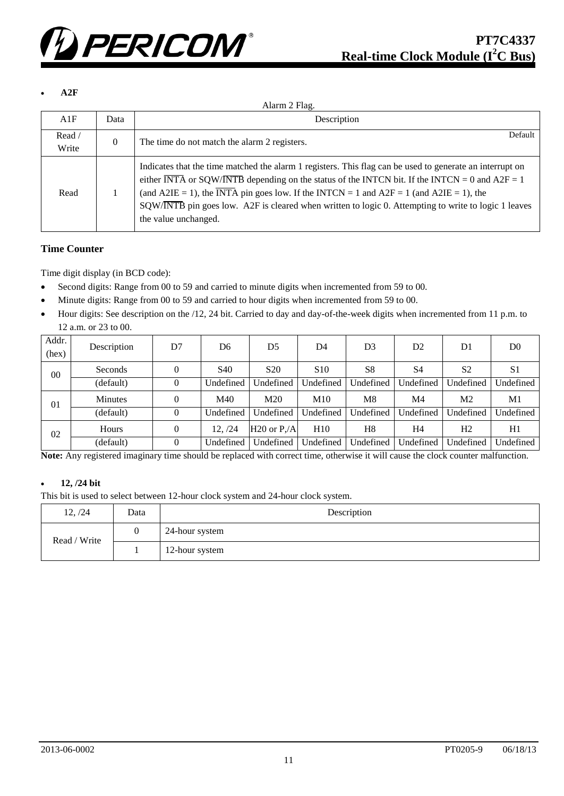

#### **A2F**

| A1F             | Data           | Description                                                                                                                                                                                                                                                                                                                                                                                                                                                                                |
|-----------------|----------------|--------------------------------------------------------------------------------------------------------------------------------------------------------------------------------------------------------------------------------------------------------------------------------------------------------------------------------------------------------------------------------------------------------------------------------------------------------------------------------------------|
| Read /<br>Write | $\overline{0}$ | Default<br>The time do not match the alarm 2 registers.                                                                                                                                                                                                                                                                                                                                                                                                                                    |
| Read            |                | Indicates that the time matched the alarm 1 registers. This flag can be used to generate an interrupt on<br>either $\overline{\text{INTA}}$ or SQW/ $\overline{\text{NTB}}$ depending on the status of the INTCN bit. If the INTCN = 0 and A2F = 1<br>(and A2IE = 1), the $\overline{INTA}$ pin goes low. If the INTCN = 1 and A2F = 1 (and A2IE = 1), the<br>SQW/INTB pin goes low. A2F is cleared when written to logic 0. Attempting to write to logic 1 leaves<br>the value unchanged. |

#### **Time Counter**

Time digit display (in BCD code):

- Second digits: Range from 00 to 59 and carried to minute digits when incremented from 59 to 00.
- Minute digits: Range from 00 to 59 and carried to hour digits when incremented from 59 to 00.
- Hour digits: See description on the /12, 24 bit. Carried to day and day-of-the-week digits when incremented from 11 p.m. to 12 a.m. or 23 to 00.

| Addr.<br>(hex) | Description    | D7       | D <sub>6</sub>  | D <sub>5</sub>  | D4              | D3             | D <sub>2</sub> | D1             | D <sub>0</sub> |
|----------------|----------------|----------|-----------------|-----------------|-----------------|----------------|----------------|----------------|----------------|
| 00             | Seconds        |          | S <sub>40</sub> | S <sub>20</sub> | S <sub>10</sub> | S <sub>8</sub> | S4             | S <sub>2</sub> | S <sub>1</sub> |
|                | (default)      | 0        | Undefined       | Undefined       | Undefined       | Undefined      | Undefined      | Undefined      | Undefined      |
| 01             | <b>Minutes</b> | 0        | M40             | M <sub>20</sub> | M10             | M8             | M4             | M2             | M1             |
|                | (default)      | 0        | Undefined       | Undefined       | Undefined       | Undefined      | Undefined      | Undefined      | Undefined      |
| 02             | Hours          | $\theta$ | 12.724          | $H20$ or P./A   | H10             | H8             | H4             | H <sub>2</sub> | H1             |
|                | (default)      | $\theta$ | Undefined       | Undefined       | Undefined       | Undefined      | Undefined      | Undefined      | Undefined      |

**Note:** Any registered imaginary time should be replaced with correct time, otherwise it will cause the clock counter malfunction.

#### • 12, /24 bit

This bit is used to select between 12-hour clock system and 24-hour clock system.

| 12, /24      | Data | Description    |
|--------------|------|----------------|
| Read / Write |      | 24-hour system |
|              |      | 12-hour system |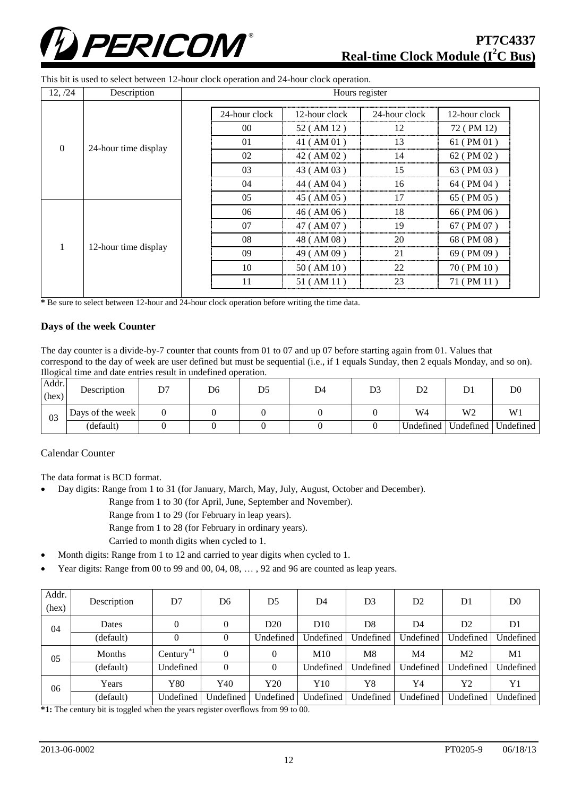

| 12, /24  | Description          |               |               | Hours register |               |
|----------|----------------------|---------------|---------------|----------------|---------------|
|          |                      | 24-hour clock | 12-hour clock | 24-hour clock  | 12-hour clock |
|          |                      | $00\,$        | 52 (AM 12)    | 12             | 72 (PM 12)    |
| $\Omega$ |                      | 01            | 41 (AM 01)    | 13             | 61 (PM 01)    |
|          | 24-hour time display | 02            | 42 (AM 02)    | 14             | 62 (PM 02)    |
|          |                      | 03            | 43 (AM 03)    | 15             | 63 (PM 03)    |
|          |                      | 04            | 44 (AM 04)    | 16             | 64 (PM 04)    |
|          |                      | 05            | 45 (AM 05)    | 17             | 65 (PM 05)    |
|          |                      | 06            | $46$ (AM 06)  | 18             | 66 (PM 06)    |
|          |                      | 07            | 47 (AM 07)    | 19             | 67 (PM 07)    |
|          |                      | 08            | 48 (AM 08)    | 20             | 68 (PM 08)    |
|          | 12-hour time display | 09            | 49 (AM 09)    | 21             | 69 (PM 09)    |
|          |                      | 10            | 50(AM10)      | 22             | 70 (PM 10)    |
|          |                      | 11            | 51 (AM 11)    | 23             | 71 (PM 11)    |

This bit is used to select between 12-hour clock operation and 24-hour clock operation.

**\*** Be sure to select between 12-hour and 24-hour clock operation before writing the time data.

#### **Days of the week Counter**

The day counter is a divide-by-7 counter that counts from 01 to 07 and up 07 before starting again from 01. Values that correspond to the day of week are user defined but must be sequential (i.e., if 1 equals Sunday, then 2 equals Monday, and so on). Illogical time and date entries result in undefined operation.

| Addr.<br>(hex) | Description      | D7 | D6 | ້ | D4 | D3 | D2             | D1             | D0             |
|----------------|------------------|----|----|---|----|----|----------------|----------------|----------------|
| 03             | Days of the week |    |    |   |    |    | W <sub>4</sub> | W <sub>2</sub> | W <sub>1</sub> |
|                | (default)        |    |    |   |    |    | Undefined      | Undefined      | Undefined      |

#### Calendar Counter

The data format is BCD format.

- Day digits: Range from 1 to 31 (for January, March, May, July, August, October and December).
	- Range from 1 to 30 (for April, June, September and November).
	- Range from 1 to 29 (for February in leap years).
	- Range from 1 to 28 (for February in ordinary years).
	- Carried to month digits when cycled to 1.
- Month digits: Range from 1 to 12 and carried to year digits when cycled to 1.
- Year digits: Range from 00 to 99 and 00, 04, 08, ..., 92 and 96 are counted as leap years.

| Addr.<br>(hex) | Description | D7           | D6        | D5        | D4        | D <sub>3</sub> | D <sub>2</sub> | D1             | D <sub>0</sub> |
|----------------|-------------|--------------|-----------|-----------|-----------|----------------|----------------|----------------|----------------|
| 04             | Dates       | 0            |           | D20       | D10       | D <sub>8</sub> | D4             | D <sub>2</sub> | D1             |
|                | (default)   | 0            |           | Undefined | Undefined | Undefined      | Undefined      | Undefined      | Undefined      |
| 05             | Months      | Century $*1$ |           |           | M10       | M8             | M4             | M2             | M1             |
|                | (default)   | Undefined    | $\Omega$  |           | Undefined | Undefined      | Undefined      | Undefined      | Undefined      |
| 06             | Years       | ${\rm Y}80$  | Y40       | Y20       | Y10       | Y8             | Y4             | Y2             | Y1             |
|                | (default)   | Undefined    | Undefined | Undefined | Undefined | Undefined      | Undefined      | Undefined      | Undefined      |

**\*1:** The century bit is toggled when the years register overflows from 99 to 00.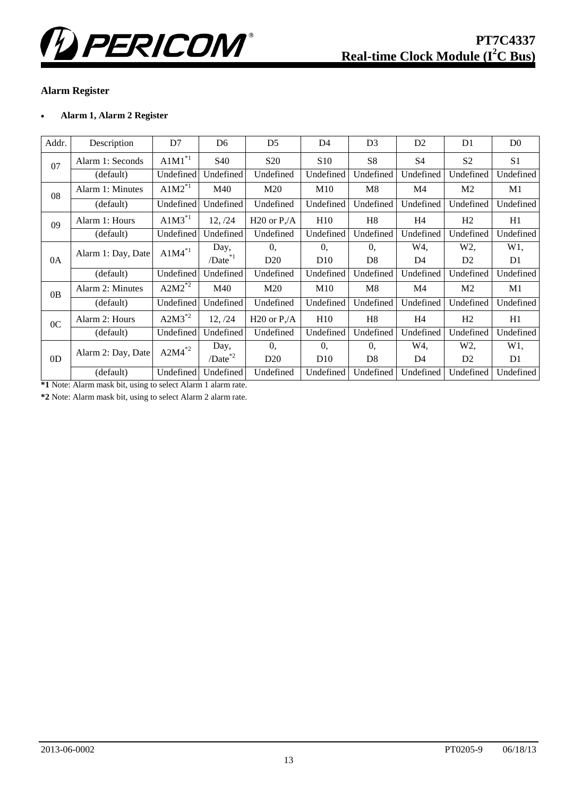

## **Alarm Register**

#### **Alarm 1, Alarm 2 Register**

| Addr.          | Description        | D7          | D <sub>6</sub>         | D <sub>5</sub>  | D <sub>4</sub>  | D <sub>3</sub> | D <sub>2</sub> | D <sub>1</sub> | D <sub>0</sub> |
|----------------|--------------------|-------------|------------------------|-----------------|-----------------|----------------|----------------|----------------|----------------|
| 07             | Alarm 1: Seconds   | $A1M1^{*1}$ | S40                    | S <sub>20</sub> | <b>S10</b>      | S8             | S <sub>4</sub> | S <sub>2</sub> | S <sub>1</sub> |
|                | (default)          | Undefined   | Undefined              | Undefined       | Undefined       | Undefined      | Undefined      | Undefined      | Undefined      |
| 08             | Alarm 1: Minutes   | $A1M2^{*1}$ | M40                    | M20             | M10             | M8             | M4             | M <sub>2</sub> | M1             |
|                | (default)          | Undefined   | Undefined              | Undefined       | Undefined       | Undefined      | Undefined      | Undefined      | Undefined      |
| 09             | Alarm 1: Hours     | $A1M3^{*1}$ | 12, /24                | $H20$ or $P1/A$ | H10             | H8             | H <sub>4</sub> | H <sub>2</sub> | H1             |
|                | (default)          | Undefined   | Undefined              | Undefined       | Undefined       | Undefined      | Undefined      | Undefined      | Undefined      |
|                | Alarm 1: Day, Date | $A1M4^{*1}$ | Day,                   | 0.              | $\theta$ ,      | $\theta$ ,     | W4,            | W2,            | $W1$ ,         |
| 0A             |                    |             | $/Date^*$ <sup>1</sup> | D <sub>20</sub> | D <sub>10</sub> | D <sub>8</sub> | D <sub>4</sub> | D <sub>2</sub> | D1             |
|                | (default)          | Undefined   | Undefined              | Undefined       | Undefined       | Undefined      | Undefined      | Undefined      | Undefined      |
| 0B             | Alarm 2: Minutes   | $A2M2^{*2}$ | M40                    | M20             | M10             | M8             | M4             | M <sub>2</sub> | M <sub>1</sub> |
|                | (default)          | Undefined   | Undefined              | Undefined       | Undefined       | Undefined      | Undefined      | Undefined      | Undefined      |
| 0 <sub>C</sub> | Alarm 2: Hours     | $A2M3^{*2}$ | 12, /24                | $H20$ or $P1/A$ | H10             | H <sub>8</sub> | H <sub>4</sub> | H <sub>2</sub> | H1             |
|                | (default)          | Undefined   | Undefined              | Undefined       | Undefined       | Undefined      | Undefined      | Undefined      | Undefined      |
|                | Alarm 2: Day, Date | $A2M4^{*2}$ | Day,                   | 0.              | 0.              | $\theta$ .     | W4,            | W2,            | $W1$ ,         |
| 0 <sub>D</sub> |                    |             | $/Date^*{}^2$          | D20             | D <sub>10</sub> | D <sub>8</sub> | D <sub>4</sub> | D2             | D <sub>1</sub> |
|                | (default)          | Undefined   | Undefined              | Undefined       | Undefined       | Undefined      | Undefined      | Undefined      | Undefined      |

**\*1** Note: Alarm mask bit, using to select Alarm 1 alarm rate.

**\*2** Note: Alarm mask bit, using to select Alarm 2 alarm rate.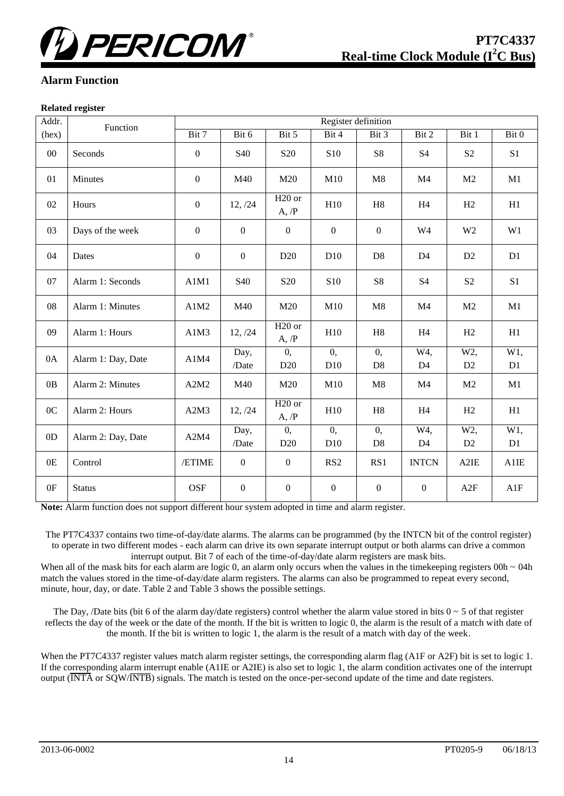# PERICOM®

## **Alarm Function**

#### **Related register**

| Addr.          | Function           |                  |                  |                             | Register definition  |                      |                       |                   |                |
|----------------|--------------------|------------------|------------------|-----------------------------|----------------------|----------------------|-----------------------|-------------------|----------------|
| (hex)          |                    | Bit 7            | Bit 6            | Bit 5                       | Bit 4                | Bit 3                | Bit 2                 | Bit 1             | Bit 0          |
| $00\,$         | Seconds            | $\boldsymbol{0}$ | S40              | S <sub>20</sub>             | S <sub>10</sub>      | S8                   | <b>S4</b>             | S <sub>2</sub>    | S1             |
| 01             | Minutes            | $\boldsymbol{0}$ | M40              | M20                         | M10                  | M8                   | M <sub>4</sub>        | M <sub>2</sub>    | M1             |
| 02             | Hours              | $\boldsymbol{0}$ | 12, /24          | H <sub>20</sub> or<br>A, /P | H10                  | H8                   | H4                    | H2                | H1             |
| 03             | Days of the week   | $\mathbf{0}$     | $\boldsymbol{0}$ | $\boldsymbol{0}$            | $\overline{0}$       | $\boldsymbol{0}$     | W <sub>4</sub>        | W <sub>2</sub>    | W1             |
| 04             | Dates              | $\boldsymbol{0}$ | $\boldsymbol{0}$ | D20                         | D10                  | D <sub>8</sub>       | D <sub>4</sub>        | D2                | D1             |
| 07             | Alarm 1: Seconds   | A1M1             | S40              | S <sub>20</sub>             | S <sub>10</sub>      | S8                   | <b>S4</b>             | S <sub>2</sub>    | S <sub>1</sub> |
| 08             | Alarm 1: Minutes   | A1M2             | M40              | M20                         | M10                  | M8                   | M <sub>4</sub>        | M <sub>2</sub>    | M1             |
| 09             | Alarm 1: Hours     | A1M3             | 12, /24          | H <sub>20</sub> or<br>A, /P | H10                  | H8                   | H4                    | H2                | H1             |
| 0A             | Alarm 1: Day, Date | A1M4             | Day,<br>/Date    | 0,<br>D20                   | $\mathbf{0},$<br>D10 | 0,<br>D <sub>8</sub> | W4,<br>D <sub>4</sub> | W2,<br>D2         | $W1$ ,<br>D1   |
| 0B             | Alarm 2: Minutes   | A2M2             | M40              | M20                         | M10                  | M8                   | M <sub>4</sub>        | M <sub>2</sub>    | M1             |
| 0 <sub>C</sub> | Alarm 2: Hours     | A2M3             | 12, /24          | H <sub>20</sub> or<br>A, /P | H10                  | H8                   | H4                    | H2                | H1             |
| 0 <sub>D</sub> | Alarm 2: Day, Date | A2M4             | Day,             | 0,                          | $\overline{0}$ ,     | 0,                   | W4,                   | W2,               | $W1$ ,         |
|                |                    |                  | /Date            | D <sub>20</sub>             | D <sub>10</sub>      | D <sub>8</sub>       | D <sub>4</sub>        | D2                | D1             |
| 0E             | Control            | /ETIME           | $\mathbf{0}$     | $\boldsymbol{0}$            | RS <sub>2</sub>      | RS1                  | <b>INTCN</b>          | A <sub>2</sub> IE | A1IE           |
| 0F             | <b>Status</b>      | <b>OSF</b>       | $\boldsymbol{0}$ | $\boldsymbol{0}$            | $\boldsymbol{0}$     | $\boldsymbol{0}$     | $\boldsymbol{0}$      | A2F               | A1F            |

**Note:** Alarm function does not support different hour system adopted in time and alarm register.

The PT7C4337 contains two time-of-day/date alarms. The alarms can be programmed (by the INTCN bit of the control register) to operate in two different modes - each alarm can drive its own separate interrupt output or both alarms can drive a common interrupt output. Bit 7 of each of the time-of-day/date alarm registers are mask bits.

When all of the mask bits for each alarm are logic 0, an alarm only occurs when the values in the timekeeping registers  $00h \sim 04h$ match the values stored in the time-of-day/date alarm registers. The alarms can also be programmed to repeat every second, minute, hour, day, or date. Table 2 and Table 3 shows the possible settings.

The Day, /Date bits (bit 6 of the alarm day/date registers) control whether the alarm value stored in bits  $0 \sim 5$  of that register reflects the day of the week or the date of the month. If the bit is written to logic 0, the alarm is the result of a match with date of the month. If the bit is written to logic 1, the alarm is the result of a match with day of the week.

When the PT7C4337 register values match alarm register settings, the corresponding alarm flag (A1F or A2F) bit is set to logic 1. If the corresponding alarm interrupt enable (A1IE or A2IE) is also set to logic 1, the alarm condition activates one of the interrupt output (INTA or SQW/INTB) signals. The match is tested on the once-per-second update of the time and date registers.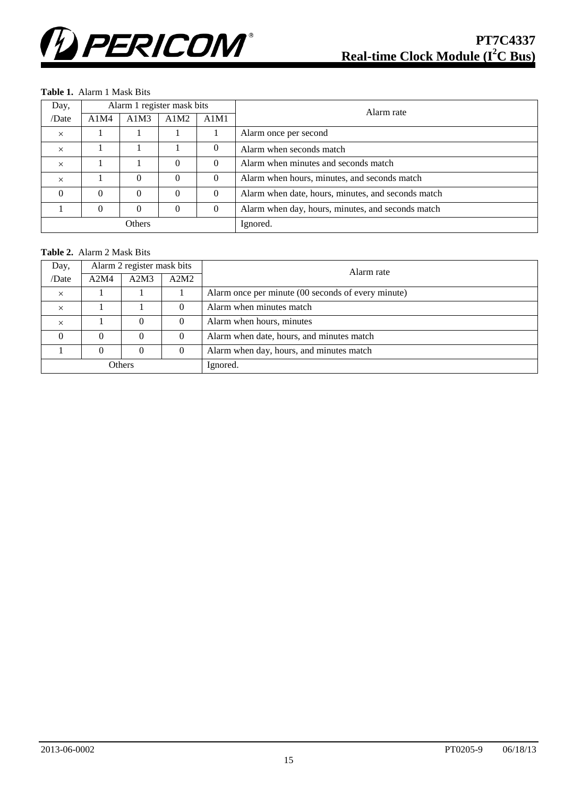

#### **Table 1.** Alarm 1 Mask Bits

| Day,     |      | Alarm 1 register mask bits |          |          | Alarm rate                                         |
|----------|------|----------------------------|----------|----------|----------------------------------------------------|
| /Date    | A1M4 | A1M3                       | A1M2     | A1M1     |                                                    |
| $\times$ |      |                            |          |          | Alarm once per second                              |
| $\times$ |      |                            |          | $\theta$ | Alarm when seconds match                           |
| $\times$ |      |                            | $\Omega$ | $\Omega$ | Alarm when minutes and seconds match               |
| $\times$ |      | $\Omega$                   | $\Omega$ | $\theta$ | Alarm when hours, minutes, and seconds match       |
| $\theta$ | 0    | $\Omega$                   | $\Omega$ | $\theta$ | Alarm when date, hours, minutes, and seconds match |
|          | 0    | $\Omega$                   | $\Omega$ | $\theta$ | Alarm when day, hours, minutes, and seconds match  |
|          |      | Others                     |          |          | Ignored.                                           |

#### **Table 2.** Alarm 2 Mask Bits

| Day,     |      | Alarm 2 register mask bits |          | Alarm rate                                         |  |  |  |  |
|----------|------|----------------------------|----------|----------------------------------------------------|--|--|--|--|
| /Date    | A2M4 | A2M3                       | A2M2     |                                                    |  |  |  |  |
| $\times$ |      |                            |          | Alarm once per minute (00 seconds of every minute) |  |  |  |  |
| $\times$ |      |                            | $\Omega$ | Alarm when minutes match                           |  |  |  |  |
| $\times$ |      | 0                          | $\Omega$ | Alarm when hours, minutes                          |  |  |  |  |
| $\Omega$ | 0    | 0                          | $\theta$ | Alarm when date, hours, and minutes match          |  |  |  |  |
|          |      | 0                          | $\Omega$ | Alarm when day, hours, and minutes match           |  |  |  |  |
| Others   |      |                            | Ignored. |                                                    |  |  |  |  |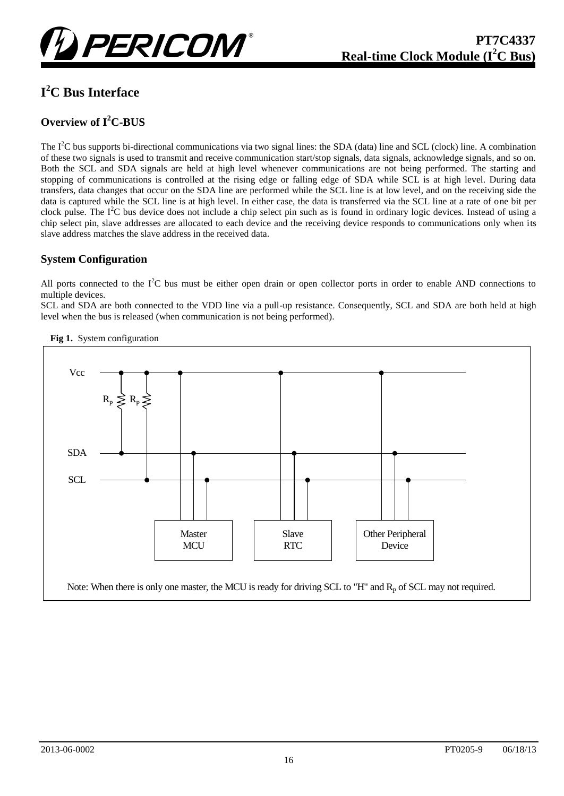

# **I <sup>2</sup>C Bus Interface**

# **Overview of I<sup>2</sup>C-BUS**

The  $I<sup>2</sup>C$  bus supports bi-directional communications via two signal lines: the SDA (data) line and SCL (clock) line. A combination of these two signals is used to transmit and receive communication start/stop signals, data signals, acknowledge signals, and so on. Both the SCL and SDA signals are held at high level whenever communications are not being performed. The starting and stopping of communications is controlled at the rising edge or falling edge of SDA while SCL is at high level. During data transfers, data changes that occur on the SDA line are performed while the SCL line is at low level, and on the receiving side the data is captured while the SCL line is at high level. In either case, the data is transferred via the SCL line at a rate of one bit per clock pulse. The  $I^2C$  bus device does not include a chip select pin such as is found in ordinary logic devices. Instead of using a chip select pin, slave addresses are allocated to each device and the receiving device responds to communications only when its slave address matches the slave address in the received data.

## **System Configuration**

All ports connected to the  $I^2C$  bus must be either open drain or open collector ports in order to enable AND connections to multiple devices.

SCL and SDA are both connected to the VDD line via a pull-up resistance. Consequently, SCL and SDA are both held at high level when the bus is released (when communication is not being performed).

#### **Fig 1.** System configuration

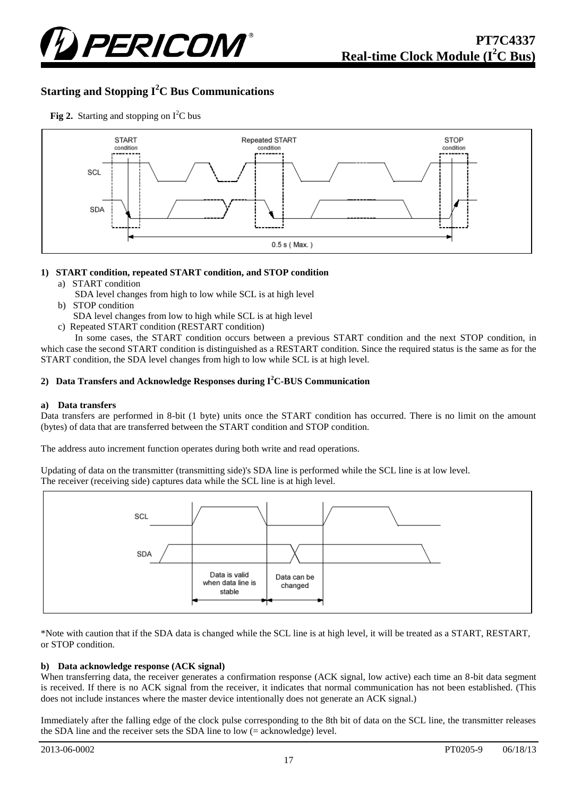

## **Starting and Stopping I<sup>2</sup>C Bus Communications**

**Fig 2.** Starting and stopping on  $I^2C$  bus



#### **1) START condition, repeated START condition, and STOP condition**

- a) START condition
- SDA level changes from high to low while SCL is at high level
- b) STOP condition
- SDA level changes from low to high while SCL is at high level
- c) Repeated START condition (RESTART condition)

In some cases, the START condition occurs between a previous START condition and the next STOP condition, in which case the second START condition is distinguished as a RESTART condition. Since the required status is the same as for the START condition, the SDA level changes from high to low while SCL is at high level.

#### **2) Data Transfers and Acknowledge Responses during I<sup>2</sup>C-BUS Communication**

#### **a) Data transfers**

Data transfers are performed in 8-bit (1 byte) units once the START condition has occurred. There is no limit on the amount (bytes) of data that are transferred between the START condition and STOP condition.

The address auto increment function operates during both write and read operations.

Updating of data on the transmitter (transmitting side)'s SDA line is performed while the SCL line is at low level. The receiver (receiving side) captures data while the SCL line is at high level.



\*Note with caution that if the SDA data is changed while the SCL line is at high level, it will be treated as a START, RESTART, or STOP condition.

#### **b) Data acknowledge response (ACK signal)**

When transferring data, the receiver generates a confirmation response (ACK signal, low active) each time an 8-bit data segment is received. If there is no ACK signal from the receiver, it indicates that normal communication has not been established. (This does not include instances where the master device intentionally does not generate an ACK signal.)

Immediately after the falling edge of the clock pulse corresponding to the 8th bit of data on the SCL line, the transmitter releases the SDA line and the receiver sets the SDA line to low (= acknowledge) level.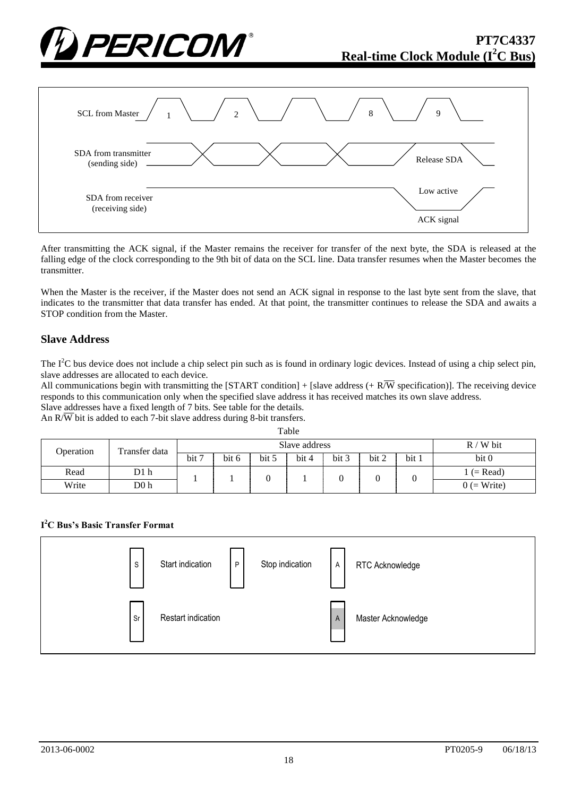



After transmitting the ACK signal, if the Master remains the receiver for transfer of the next byte, the SDA is released at the falling edge of the clock corresponding to the 9th bit of data on the SCL line. Data transfer resumes when the Master becomes the transmitter.

When the Master is the receiver, if the Master does not send an ACK signal in response to the last byte sent from the slave, that indicates to the transmitter that data transfer has ended. At that point, the transmitter continues to release the SDA and awaits a STOP condition from the Master.

#### **Slave Address**

The  $I<sup>2</sup>C$  bus device does not include a chip select pin such as is found in ordinary logic devices. Instead of using a chip select pin, slave addresses are allocated to each device.

All communications begin with transmitting the [START condition] + [slave address  $(+ R\overline{W}$  specification)]. The receiving device responds to this communication only when the specified slave address it has received matches its own slave address. Slave addresses have a fixed length of 7 bits. See table for the details.

An  $R/\overline{W}$  bit is added to each 7-bit slave address during 8-bit transfers.

|           |               |               |       |       | i avie |       |       |       |               |
|-----------|---------------|---------------|-------|-------|--------|-------|-------|-------|---------------|
| Operation | Transfer data | Slave address |       |       |        |       |       |       | $R / W$ bit   |
|           |               | bit 7         | bit 6 | bit 5 | bit 4  | bit 3 | bit 2 | bit 1 | bit 0         |
| Read      | D1 h          |               |       |       |        |       |       |       | $(= Read)$    |
| Write     | D0 h          |               |       |       |        |       |       |       | $0 (= Write)$ |

Table

#### **I <sup>2</sup>C Bus's Basic Transfer Format**

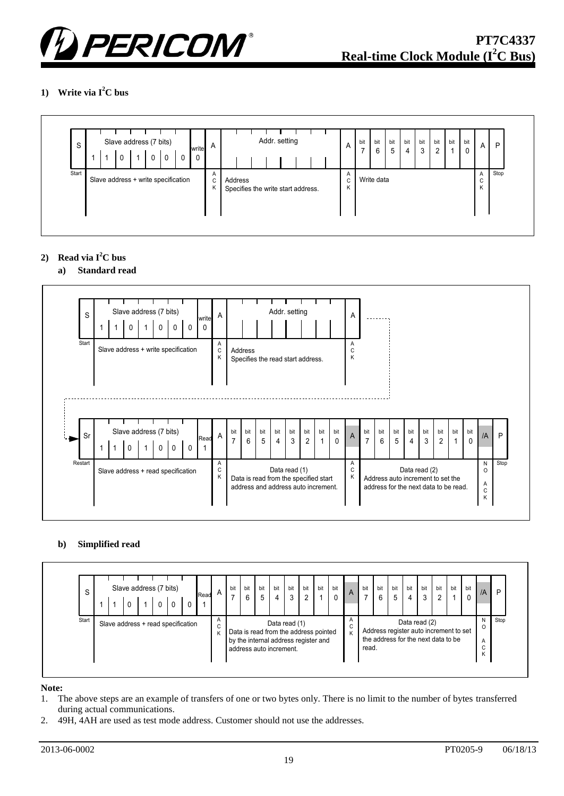

#### **1) Write via I<sup>2</sup>C bus**



#### **2) Read via I<sup>2</sup>C bus**

#### **a) Standard read**



#### **b) Simplified read**



**Note:**

2. 49H, 4AH are used as test mode address. Customer should not use the addresses.

<sup>1.</sup> The above steps are an example of transfers of one or two bytes only. There is no limit to the number of bytes transferred during actual communications.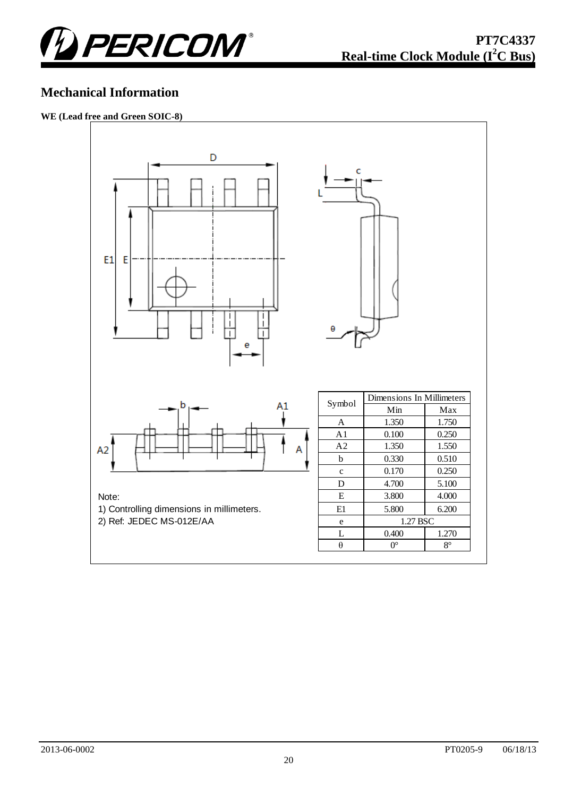

# **Mechanical Information**

## **WE (Lead free and Green SOIC-8)**

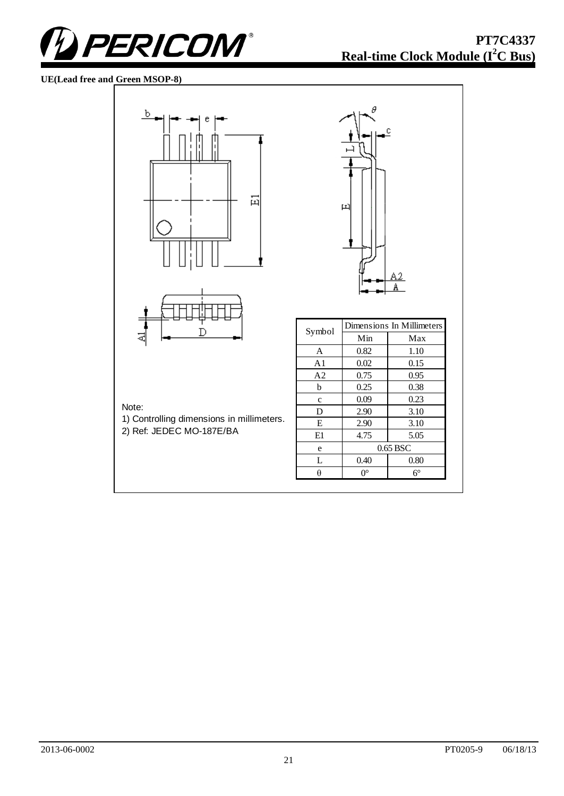

#### **UE(Lead free and Green MSOP-8)**

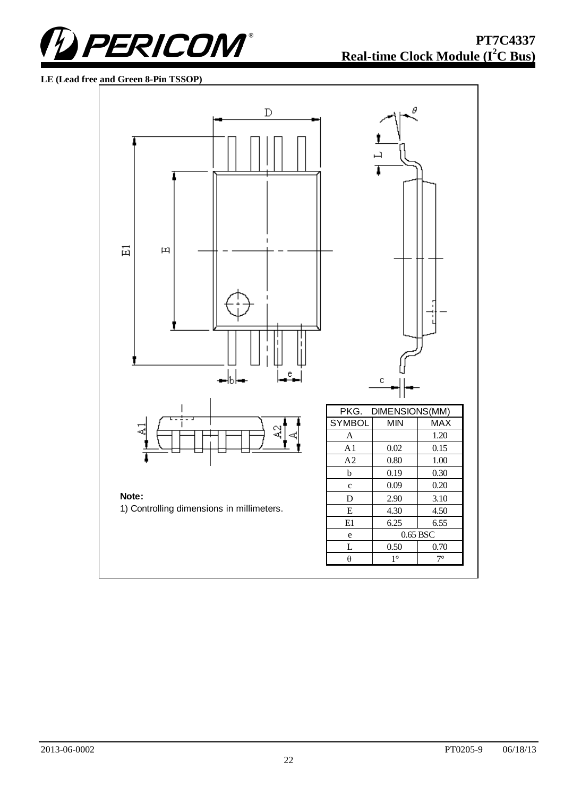

**LE (Lead free and Green 8-Pin TSSOP)**